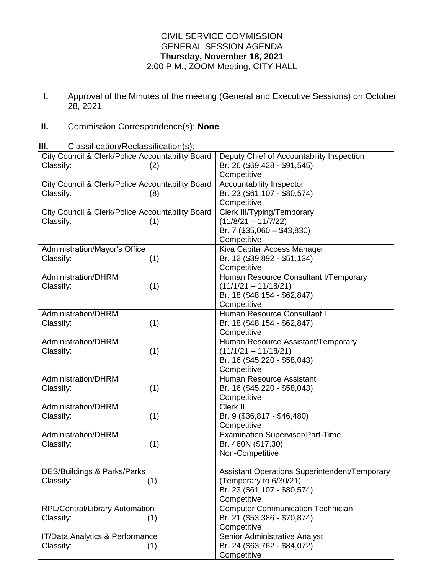## CIVIL SERVICE COMMISSION GENERAL SESSION AGENDA **Thursday, November 18, 2021** 2:00 P.M., ZOOM Meeting, CITY HALL

**I.** Approval of the Minutes of the meeting (General and Executive Sessions) on October 28, 2021.

## **II.** Commission Correspondence(s): **None**

**III.** Classification/Reclassification(s): City Council & Clerk/Police Accountability Board Classify: (2) Deputy Chief of Accountability Inspection Br. 26 (\$69,428 - \$91,545) **Competitive** City Council & Clerk/Police Accountability Board Classify: (8) Accountability Inspector Br. 23 (\$61,107 - \$80,574) **Competitive** City Council & Clerk/Police Accountability Board Classify: (1) Clerk III/Typing/Temporary  $(11/8/21 - 11/7/22)$ Br. 7 (\$35,060 – \$43,830) **Competitive** Administration/Mayor's Office Classify: (1) Kiva Capital Access Manager Br. 12 (\$39,892 - \$51,134) **Competitive** Administration/DHRM Classify: (1) Human Resource Consultant I/Temporary (11/1/21 – 11/18/21) Br. 18 (\$48,154 - \$62,847) **Competitive** Administration/DHRM Classify: (1) Human Resource Consultant I Br. 18 (\$48,154 - \$62,847) **Competitive** Administration/DHRM Classify: (1) Human Resource Assistant/Temporary (11/1/21 – 11/18/21) Br. 16 (\$45,220 - \$58,043) **Competitive** Administration/DHRM Classify: (1) Human Resource Assistant Br. 16 (\$45,220 - \$58,043) **Competitive** Administration/DHRM Classify: (1) Clerk II Br. 9 (\$36,817 - \$46,480) **Competitive** Administration/DHRM Classify: (1) Examination Supervisor/Part-Time Br. 460N (\$17.30) Non-Competitive

DES/Buildings & Parks/Parks Classify: (1) Assistant Operations Superintendent/Temporary (Temporary to 6/30/21) Br. 23 (\$61,107 - \$80,574) **Competitive** RPL/Central/Library Automation Classify: (1) Computer Communication Technician Br. 21 (\$53,386 - \$70,874) **Competitive** IT/Data Analytics & Performance Classify: (1) Senior Administrative Analyst Br. 24 (\$63,762 - \$84,072) **Competitive**